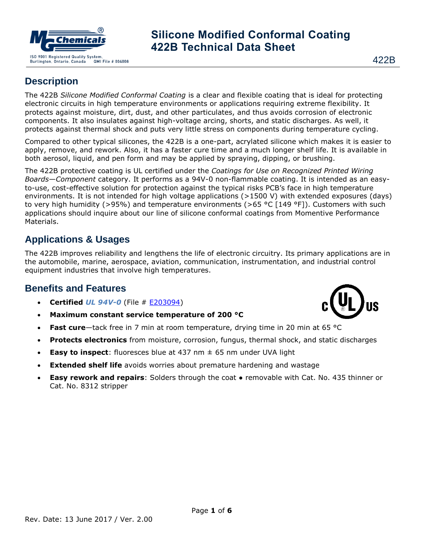

#### 422B

## **Description**

The 422B *Silicone Modified Conformal Coating* is a clear and flexible coating that is ideal for protecting electronic circuits in high temperature environments or applications requiring extreme flexibility. It protects against moisture, dirt, dust, and other particulates, and thus avoids corrosion of electronic components. It also insulates against high-voltage arcing, shorts, and static discharges. As well, it protects against thermal shock and puts very little stress on components during temperature cycling.

Compared to other typical silicones, the 422B is a one-part, acrylated silicone which makes it is easier to apply, remove, and rework. Also, it has a faster cure time and a much longer shelf life. It is available in both aerosol, liquid, and pen form and may be applied by spraying, dipping, or brushing.

The 422B protective coating is UL certified under the *Coatings for Use on Recognized Printed Wiring Boards—Component* category. It performs as a 94V-0 non-flammable coating. It is intended as an easyto-use, cost-effective solution for protection against the typical risks PCB's face in high temperature environments. It is not intended for high voltage applications (>1500 V) with extended exposures (days) to very high humidity (>95%) and temperature environments (>65 °C [149 °F]). Customers with such applications should inquire about our line of silicone conformal coatings from Momentive Performance Materials.

## **Applications & Usages**

The 422B improves reliability and lengthens the life of electronic circuitry. Its primary applications are in the automobile, marine, aerospace, aviation, communication, instrumentation, and industrial control equipment industries that involve high temperatures.

## **Benefits and Features**

- **Certified** *UL 94V-0* (File # [E203094\)](http://database.ul.com/cgi-bin/XYV/template/LISEXT/1FRAME/showpage.html?name=QMJU2.E203094&ccnshorttitle=Coatings+for+Use+on+Recognized+Printed+Wiring+Boards+-+Component&objid=1075848317&cfgid=1073741824&version=versionless&parent_id=1073831291&sequence=1)
- **Maximum constant service temperature of 200 °C**
- **Fast cure**—tack free in 7 min at room temperature, drying time in 20 min at 65 °C
- **Protects electronics** from moisture, corrosion, fungus, thermal shock, and static discharges
- **Easy to inspect**: fluoresces blue at 437 nm ± 65 nm under UVA light
- **Extended shelf life** avoids worries about premature hardening and wastage
- **Easy rework and repairs**: Solders through the coat removable with Cat. No. 435 thinner or Cat. No. 8312 stripper

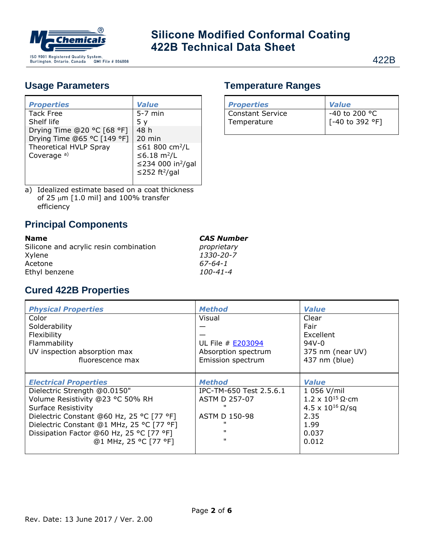

## **Usage Parameters**

| <b>Properties</b>           | <b>Value</b>                    |
|-----------------------------|---------------------------------|
| <b>Tack Free</b>            | $5-7$ min                       |
| Shelf life                  | 5 <sub>v</sub>                  |
| Drying Time @20 °C [68 °F]  | 48 h                            |
| Drying Time @65 °C [149 °F] | 20 min                          |
| Theoretical HVLP Spray      | ≤61 800 cm <sup>2</sup> /L      |
| Coverage <sup>a)</sup>      | ≤6.18 m <sup>2</sup> /L         |
|                             | ≤234 000 in <sup>2</sup> /gal   |
|                             | $\leq$ 252 ft <sup>2</sup> /gal |
|                             |                                 |

a) Idealized estimate based on a coat thickness of 25  $\mu$ m [1.0 mil] and 100% transfer efficiency

## **Principal Components**

| <b>Name</b>                            | <b>CAS Number</b> |
|----------------------------------------|-------------------|
| Silicone and acrylic resin combination | proprietary       |
| Xylene                                 | 1330-20-7         |
| Acetone                                | 67-64-1           |
| Ethyl benzene                          | 100-41-4          |

## **Cured 422B Properties**

| <b>Physical Properties</b>                | <b>Method</b>            | <b>Value</b>                   |
|-------------------------------------------|--------------------------|--------------------------------|
| Color                                     | Visual                   | Clear                          |
| Solderability                             |                          | Fair                           |
| Flexibility                               |                          | Excellent                      |
| Flammability                              | UL File # <b>E203094</b> | $94V - 0$                      |
| UV inspection absorption max              | Absorption spectrum      | 375 nm (near UV)               |
| fluorescence max                          | Emission spectrum        | 437 nm (blue)                  |
|                                           |                          |                                |
|                                           |                          |                                |
| <b>Electrical Properties</b>              | <b>Method</b>            | <b>Value</b>                   |
| Dielectric Strength @0.0150"              | IPC-TM-650 Test 2.5.6.1  | 1 056 V/mil                    |
| Volume Resistivity @23 °C 50% RH          | <b>ASTM D 257-07</b>     | $1.2 \times 10^{15} \Omega$ cm |
| <b>Surface Resistivity</b>                |                          | 4.5 x $10^{16}$ Ω/sq           |
| Dielectric Constant @60 Hz, 25 °C [77 °F] | ASTM D 150-98            | 2.35                           |
| Dielectric Constant @1 MHz, 25 °C [77 °F] |                          | 1.99                           |
| Dissipation Factor @60 Hz, 25 °C [77 °F]  | $\mathbf{H}$             | 0.037                          |
| @1 MHz, 25 °C [77 °F]                     | $\mathbf{H}$             | 0.012                          |

| <b>Properties</b>               | <b>Value</b>                                               |
|---------------------------------|------------------------------------------------------------|
| Constant Service<br>Temperature | -40 to 200 °C<br>$\sqrt{(-40 \text{ to } 392 \text{ °F})}$ |
|                                 |                                                            |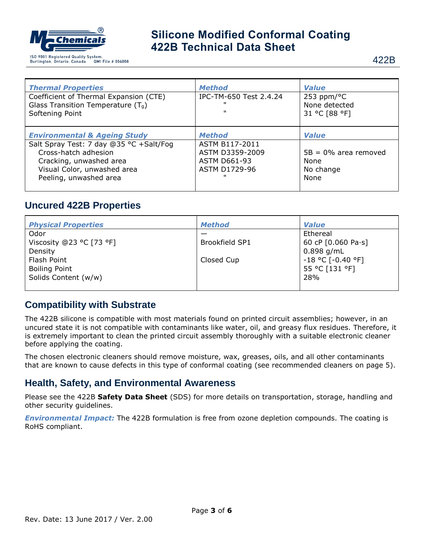

| <b>Thermal Properties</b>                                                                                                                                                                      | <b>Method</b>                                                                                  | <b>Value</b>                                                         |
|------------------------------------------------------------------------------------------------------------------------------------------------------------------------------------------------|------------------------------------------------------------------------------------------------|----------------------------------------------------------------------|
| Coefficient of Thermal Expansion (CTE)                                                                                                                                                         | IPC-TM-650 Test 2.4.24                                                                         | 253 ppm/ $\degree$ C                                                 |
| Glass Transition Temperature $(T_q)$                                                                                                                                                           |                                                                                                | None detected                                                        |
| Softening Point                                                                                                                                                                                | $\mathbf{u}$                                                                                   | 31 °C [88 °F]                                                        |
| <b>Environmental &amp; Ageing Study</b><br>Salt Spray Test: 7 day @35 °C +Salt/Fog<br>Cross-hatch adhesion<br>Cracking, unwashed area<br>Visual Color, unwashed area<br>Peeling, unwashed area | <b>Method</b><br>ASTM B117-2011<br>ASTM D3359-2009<br><b>ASTM D661-93</b><br>ASTM D1729-96<br> | <b>Value</b><br>$5B = 0\%$ area removed<br>None<br>No change<br>None |

## **Uncured 422B Properties**

| <b>Physical Properties</b> | <b>Method</b>         | <b>Value</b>                              |
|----------------------------|-----------------------|-------------------------------------------|
| Odor                       |                       | Ethereal                                  |
| Viscosity @23 °C [73 °F]   | <b>Brookfield SP1</b> | 60 cP $[0.060 \text{ Pa} \cdot \text{s}]$ |
| Density                    |                       | $0.898$ g/mL                              |
| Flash Point                | Closed Cup            | $-18$ °C [ $-0.40$ °F]                    |
| <b>Boiling Point</b>       |                       | 55 °C [131 °F]                            |
| Solids Content (w/w)       |                       | 28%                                       |
|                            |                       |                                           |

#### **Compatibility with Substrate**

The 422B silicone is compatible with most materials found on printed circuit assemblies; however, in an uncured state it is not compatible with contaminants like water, oil, and greasy flux residues. Therefore, it is extremely important to clean the printed circuit assembly thoroughly with a suitable electronic cleaner before applying the coating.

The chosen electronic cleaners should remove moisture, wax, greases, oils, and all other contaminants that are known to cause defects in this type of conformal coating (see recommended cleaners on page 5).

## **Health, Safety, and Environmental Awareness**

Please see the 422B **Safety Data Sheet** (SDS) for more details on transportation, storage, handling and other security guidelines.

*Environmental Impact:* The 422B formulation is free from ozone depletion compounds. The coating is RoHS compliant.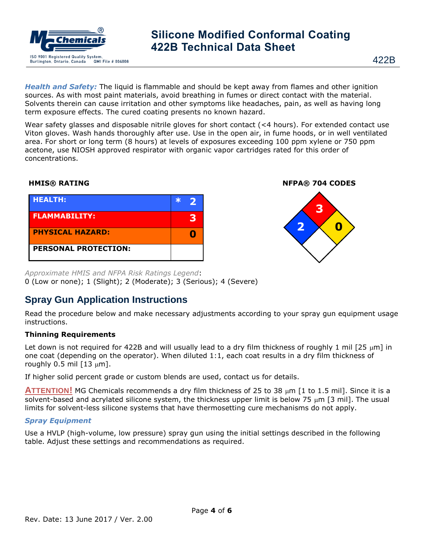

422B

*Health and Safety:* The liquid is flammable and should be kept away from flames and other ignition sources. As with most paint materials, avoid breathing in fumes or direct contact with the material. Solvents therein can cause irritation and other symptoms like headaches, pain, as well as having long term exposure effects. The cured coating presents no known hazard.

Wear safety glasses and disposable nitrile gloves for short contact (<4 hours). For extended contact use Viton gloves. Wash hands thoroughly after use. Use in the open air, in fume hoods, or in well ventilated area. For short or long term (8 hours) at levels of exposures exceeding 100 ppm xylene or 750 ppm acetone, use NIOSH approved respirator with organic vapor cartridges rated for this order of concentrations.

| <b>HEALTH:</b>              | $\ast$ |   |
|-----------------------------|--------|---|
| <b>FLAMMABILITY:</b>        |        | R |
| <b>PHYSICAL HAZARD:</b>     |        |   |
| <b>PERSONAL PROTECTION:</b> |        |   |



*Approximate HMIS and NFPA Risk Ratings Legend*: 0 (Low or none); 1 (Slight); 2 (Moderate); 3 (Serious); 4 (Severe)

## **Spray Gun Application Instructions**

Read the procedure below and make necessary adjustments according to your spray gun equipment usage instructions.

#### **Thinning Requirements**

Let down is not required for 422B and will usually lead to a dry film thickness of roughly 1 mil  $[25 \mu m]$  in one coat (depending on the operator). When diluted 1:1, each coat results in a dry film thickness of roughly 0.5 mil  $[13 \mu m]$ .

If higher solid percent grade or custom blends are used, contact us for details.

**ATTENTION!** MG Chemicals recommends a dry film thickness of 25 to 38  $\mu$ m [1 to 1.5 mil]. Since it is a solvent-based and acrylated silicone system, the thickness upper limit is below 75  $\mu$ m [3 mil]. The usual limits for solvent-less silicone systems that have thermosetting cure mechanisms do not apply.

#### *Spray Equipment*

Use a HVLP (high-volume, low pressure) spray gun using the initial settings described in the following table. Adjust these settings and recommendations as required.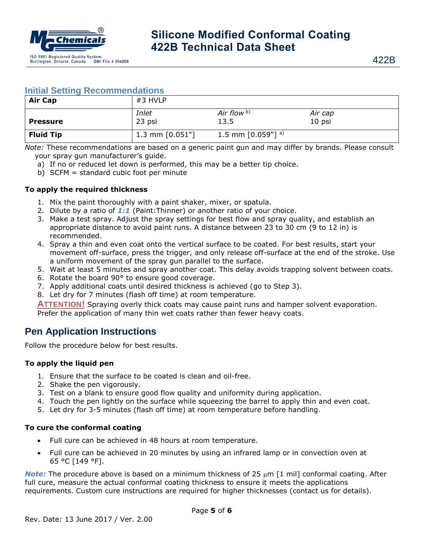

#### **Initial Setting Recommendations**

| <b>Air Cap</b>   | $#3$ HVLP          |                      |                   |
|------------------|--------------------|----------------------|-------------------|
| <b>Pressure</b>  | Inlet<br>23 psi    | Air flow b)<br>13.5  | Air cap<br>10 psi |
| <b>Fluid Tip</b> | 1.3 mm $[0.051"$ ] | 1.5 mm $[0.059"]$ a) |                   |

*Note:* These recommendations are based on a generic paint gun and may differ by brands. Please consult your spray gun manufacturer's guide.

- a) If no or reduced let down is performed, this may be a better tip choice.
- b) SCFM = standard cubic foot per minute

#### **To apply the required thickness**

- 1. Mix the paint thoroughly with a paint shaker, mixer, or spatula.
- 2. Dilute by a ratio of *1:1* (Paint:Thinner) or another ratio of your choice.
- 3. Make a test spray. Adjust the spray settings for best flow and spray quality, and establish an appropriate distance to avoid paint runs. A distance between 23 to 30 cm (9 to 12 in) is recommended.
- 4. Spray a thin and even coat onto the vertical surface to be coated. For best results, start your movement off-surface, press the trigger, and only release off-surface at the end of the stroke. Use a uniform movement of the spray gun parallel to the surface.
- 5. Wait at least 5 minutes and spray another coat. This delay avoids trapping solvent between coats.
- 6. Rotate the board 90° to ensure good coverage.
- 7. Apply additional coats until desired thickness is achieved (go to Step 3).
- 8. Let dry for 7 minutes (flash off time) at room temperature.

**ATTENTION!** Spraying overly thick coats may cause paint runs and hamper solvent evaporation. Prefer the application of many thin wet coats rather than fewer heavy coats.

## **Pen Application Instructions**

Follow the procedure below for best results.

#### **To apply the liquid pen**

- 1. Ensure that the surface to be coated is clean and oil-free.
- 2. Shake the pen vigorously.
- 3. Test on a blank to ensure good flow quality and uniformity during application.
- 4. Touch the pen lightly on the surface while squeezing the barrel to apply thin and even coat.
- 5. Let dry for 3-5 minutes (flash off time) at room temperature before handling.

#### **To cure the conformal coating**

- Full cure can be achieved in 48 hours at room temperature.
- Full cure can be achieved in 20 minutes by using an infrared lamp or in convection oven at 65 °C [149 °F].

*Note:* The procedure above is based on a minimum thickness of 25  $\mu$ m [1 mil] conformal coating. After full cure, measure the actual conformal coating thickness to ensure it meets the applications requirements. Custom cure instructions are required for higher thicknesses (contact us for details).